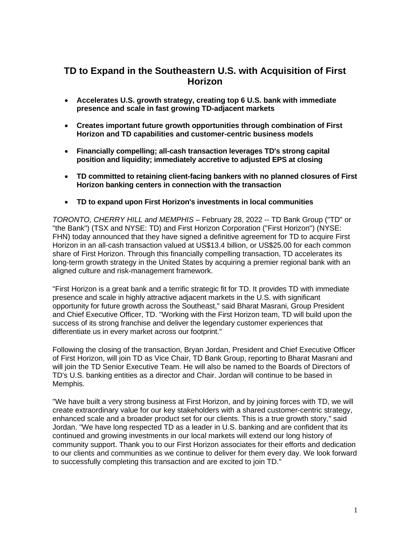# **TD to Expand in the Southeastern U.S. with Acquisition of First Horizon**

- **Accelerates U.S. growth strategy, creating top 6 U.S. bank with immediate presence and scale in fast growing TD-adjacent markets**
- **Creates important future growth opportunities through combination of First Horizon and TD capabilities and customer-centric business models**
- **Financially compelling; all-cash transaction leverages TD's strong capital position and liquidity; immediately accretive to adjusted EPS at closing**
- **TD committed to retaining client-facing bankers with no planned closures of First Horizon banking centers in connection with the transaction**
- **TD to expand upon First Horizon's investments in local communities**

*TORONTO, CHERRY HILL and MEMPHIS –* February 28, 2022 -- TD Bank Group ("TD" or "the Bank") (TSX and NYSE: TD) and First Horizon Corporation ("First Horizon") (NYSE: FHN) today announced that they have signed a definitive agreement for TD to acquire First Horizon in an all-cash transaction valued at US\$13.4 billion, or US\$25.00 for each common share of First Horizon. Through this financially compelling transaction, TD accelerates its long-term growth strategy in the United States by acquiring a premier regional bank with an aligned culture and risk-management framework.

"First Horizon is a great bank and a terrific strategic fit for TD. It provides TD with immediate presence and scale in highly attractive adjacent markets in the U.S. with significant opportunity for future growth across the Southeast," said Bharat Masrani, Group President and Chief Executive Officer, TD. "Working with the First Horizon team, TD will build upon the success of its strong franchise and deliver the legendary customer experiences that differentiate us in every market across our footprint."

Following the closing of the transaction, Bryan Jordan, President and Chief Executive Officer of First Horizon, will join TD as Vice Chair, TD Bank Group, reporting to Bharat Masrani and will join the TD Senior Executive Team. He will also be named to the Boards of Directors of TD's U.S. banking entities as a director and Chair. Jordan will continue to be based in Memphis.

"We have built a very strong business at First Horizon, and by joining forces with TD, we will create extraordinary value for our key stakeholders with a shared customer-centric strategy, enhanced scale and a broader product set for our clients. This is a true growth story," said Jordan. "We have long respected TD as a leader in U.S. banking and are confident that its continued and growing investments in our local markets will extend our long history of community support. Thank you to our First Horizon associates for their efforts and dedication to our clients and communities as we continue to deliver for them every day. We look forward to successfully completing this transaction and are excited to join TD."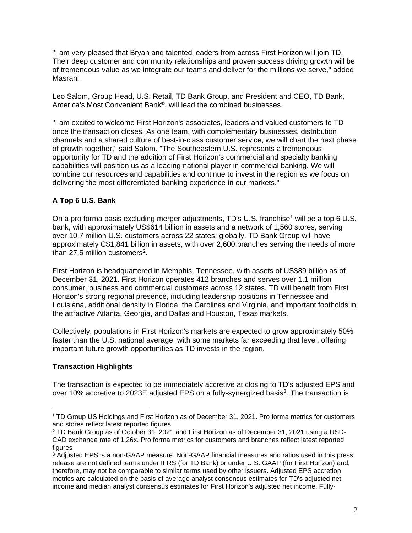"I am very pleased that Bryan and talented leaders from across First Horizon will join TD. Their deep customer and community relationships and proven success driving growth will be of tremendous value as we integrate our teams and deliver for the millions we serve," added Masrani.

Leo Salom, Group Head, U.S. Retail, TD Bank Group, and President and CEO, TD Bank, America's Most Convenient Bank®, will lead the combined businesses.

"I am excited to welcome First Horizon's associates, leaders and valued customers to TD once the transaction closes. As one team, with complementary businesses, distribution channels and a shared culture of best-in-class customer service, we will chart the next phase of growth together," said Salom. "The Southeastern U.S. represents a tremendous opportunity for TD and the addition of First Horizon's commercial and specialty banking capabilities will position us as a leading national player in commercial banking. We will combine our resources and capabilities and continue to invest in the region as we focus on delivering the most differentiated banking experience in our markets."

## **A Top 6 U.S. Bank**

On a pro forma basis excluding merger adjustments, TD's U.S. franchise<sup>[1](#page-1-0)</sup> will be a top 6 U.S. bank, with approximately US\$614 billion in assets and a network of 1,560 stores, serving over 10.7 million U.S. customers across 22 states; globally, TD Bank Group will have approximately C\$1,841 billion in assets, with over 2,600 branches serving the needs of more than [2](#page-1-1)7.5 million customers<sup>2</sup>.

First Horizon is headquartered in Memphis, Tennessee, with assets of US\$89 billion as of December 31, 2021. First Horizon operates 412 branches and serves over 1.1 million consumer, business and commercial customers across 12 states. TD will benefit from First Horizon's strong regional presence, including leadership positions in Tennessee and Louisiana, additional density in Florida, the Carolinas and Virginia, and important footholds in the attractive Atlanta, Georgia, and Dallas and Houston, Texas markets.

Collectively, populations in First Horizon's markets are expected to grow approximately 50% faster than the U.S. national average, with some markets far exceeding that level, offering important future growth opportunities as TD invests in the region.

### **Transaction Highlights**

The transaction is expected to be immediately accretive at closing to TD's adjusted EPS and over 10% accretive to 202[3](#page-1-2)E adjusted EPS on a fully-synergized basis<sup>3</sup>. The transaction is

<span id="page-1-0"></span><sup>&</sup>lt;sup>1</sup> TD Group US Holdings and First Horizon as of December 31, 2021. Pro forma metrics for customers and stores reflect latest reported figures

<span id="page-1-1"></span><sup>2</sup> TD Bank Group as of October 31, 2021 and First Horizon as of December 31, 2021 using a USD-CAD exchange rate of 1.26x. Pro forma metrics for customers and branches reflect latest reported figures

<span id="page-1-2"></span><sup>&</sup>lt;sup>3</sup> Adjusted EPS is a non-GAAP measure. Non-GAAP financial measures and ratios used in this press release are not defined terms under IFRS (for TD Bank) or under U.S. GAAP (for First Horizon) and, therefore, may not be comparable to similar terms used by other issuers. Adjusted EPS accretion metrics are calculated on the basis of average analyst consensus estimates for TD's adjusted net income and median analyst consensus estimates for First Horizon's adjusted net income. Fully-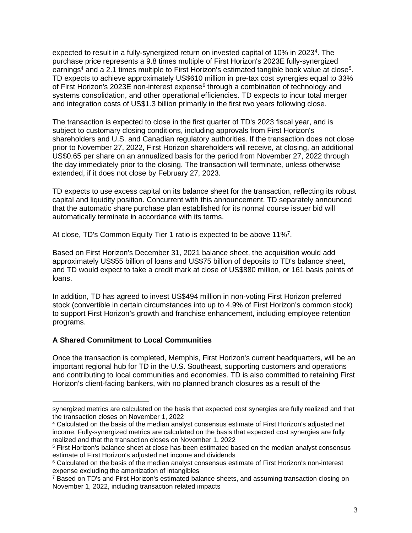expected to result in a fully-synergized return on invested capital of 10% in 2023<sup>[4](#page-2-0)</sup>. The purchase price represents a 9.8 times multiple of First Horizon's 2023E fully-synergized earnings<sup>4</sup> and a 2.1 times multiple to First Horizon's estimated tangible book value at close<sup>[5](#page-2-1)</sup>. TD expects to achieve approximately US\$610 million in pre-tax cost synergies equal to 33% of First Horizon's 2023E non-interest expense<sup>[6](#page-2-2)</sup> through a combination of technology and systems consolidation, and other operational efficiencies. TD expects to incur total merger and integration costs of US\$1.3 billion primarily in the first two years following close.

The transaction is expected to close in the first quarter of TD's 2023 fiscal year, and is subject to customary closing conditions, including approvals from First Horizon's shareholders and U.S. and Canadian regulatory authorities. If the transaction does not close prior to November 27, 2022, First Horizon shareholders will receive, at closing, an additional US\$0.65 per share on an annualized basis for the period from November 27, 2022 through the day immediately prior to the closing. The transaction will terminate, unless otherwise extended, if it does not close by February 27, 2023.

TD expects to use excess capital on its balance sheet for the transaction, reflecting its robust capital and liquidity position. Concurrent with this announcement, TD separately announced that the automatic share purchase plan established for its normal course issuer bid will automatically terminate in accordance with its terms.

At close, TD's Common Equity Tier 1 ratio is expected to be above 11%<sup>[7](#page-2-3)</sup>.

Based on First Horizon's December 31, 2021 balance sheet, the acquisition would add approximately US\$55 billion of loans and US\$75 billion of deposits to TD's balance sheet, and TD would expect to take a credit mark at close of US\$880 million, or 161 basis points of loans.

In addition, TD has agreed to invest US\$494 million in non-voting First Horizon preferred stock (convertible in certain circumstances into up to 4.9% of First Horizon's common stock) to support First Horizon's growth and franchise enhancement, including employee retention programs.

### **A Shared Commitment to Local Communities**

Once the transaction is completed, Memphis, First Horizon's current headquarters, will be an important regional hub for TD in the U.S. Southeast, supporting customers and operations and contributing to local communities and economies. TD is also committed to retaining First Horizon's client-facing bankers, with no planned branch closures as a result of the

synergized metrics are calculated on the basis that expected cost synergies are fully realized and that the transaction closes on November 1, 2022

<span id="page-2-0"></span><sup>4</sup> Calculated on the basis of the median analyst consensus estimate of First Horizon's adjusted net income. Fully-synergized metrics are calculated on the basis that expected cost synergies are fully realized and that the transaction closes on November 1, 2022

<span id="page-2-1"></span><sup>5</sup> First Horizon's balance sheet at close has been estimated based on the median analyst consensus estimate of First Horizon's adjusted net income and dividends

<span id="page-2-2"></span><sup>&</sup>lt;sup>6</sup> Calculated on the basis of the median analyst consensus estimate of First Horizon's non-interest expense excluding the amortization of intangibles

<span id="page-2-3"></span><sup>&</sup>lt;sup>7</sup> Based on TD's and First Horizon's estimated balance sheets, and assuming transaction closing on November 1, 2022, including transaction related impacts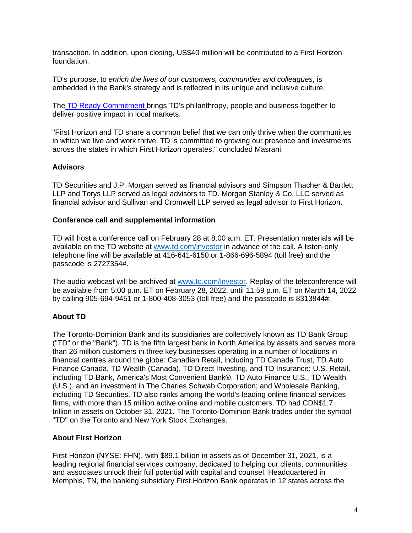transaction. In addition, upon closing, US\$40 million will be contributed to a First Horizon foundation.

TD's purpose, to *enrich the lives of our customers, communities and colleagues*, is embedded in the Bank's strategy and is reflected in its unique and inclusive culture.

The TD [Ready Commitment](https://www.td.com/document/PDF/ESG/2020-TDRC-Report.pdf) brings TD's philanthropy, people and business together to deliver positive impact in local markets.

"First Horizon and TD share a common belief that we can only thrive when the communities in which we live and work thrive. TD is committed to growing our presence and investments across the states in which First Horizon operates," concluded Masrani.

### **Advisors**

TD Securities and J.P. Morgan served as financial advisors and Simpson Thacher & Bartlett LLP and Torys LLP served as legal advisors to TD. Morgan Stanley & Co. LLC served as financial advisor and Sullivan and Cromwell LLP served as legal advisor to First Horizon.

### **Conference call and supplemental information**

TD will host a conference call on February 28 at 8:00 a.m. ET. Presentation materials will be available on the TD website at [www.td.com/investor](http://www.td.com/investor) in advance of the call. A listen-only telephone line will be available at 416-641-6150 or 1-866-696-5894 (toll free) and the passcode is 2727354#.

The audio webcast will be archived at [www.td.com/investor.](http://www.td.com/investor) Replay of the teleconference will be available from 5:00 p.m. ET on February 28, 2022, until 11:59 p.m. ET on March 14, 2022 by calling 905-694-9451 or 1-800-408-3053 (toll free) and the passcode is 8313844#.

### **About TD**

The Toronto-Dominion Bank and its subsidiaries are collectively known as TD Bank Group ("TD" or the "Bank"). TD is the fifth largest bank in North America by assets and serves more than 26 million customers in three key businesses operating in a number of locations in financial centres around the globe: Canadian Retail, including TD Canada Trust, TD Auto Finance Canada, TD Wealth (Canada), TD Direct Investing, and TD Insurance; U.S. Retail, including TD Bank, America's Most Convenient Bank®, TD Auto Finance U.S., TD Wealth (U.S.), and an investment in The Charles Schwab Corporation; and Wholesale Banking, including TD Securities. TD also ranks among the world's leading online financial services firms, with more than 15 million active online and mobile customers. TD had CDN\$1.7 trillion in assets on October 31, 2021. The Toronto-Dominion Bank trades under the symbol "TD" on the Toronto and New York Stock Exchanges.

### **About First Horizon**

First Horizon (NYSE: FHN), with \$89.1 billion in assets as of December 31, 2021, is a leading regional financial services company, dedicated to helping our clients, communities and associates unlock their full potential with capital and counsel. Headquartered in Memphis, TN, the banking subsidiary First Horizon Bank operates in 12 states across the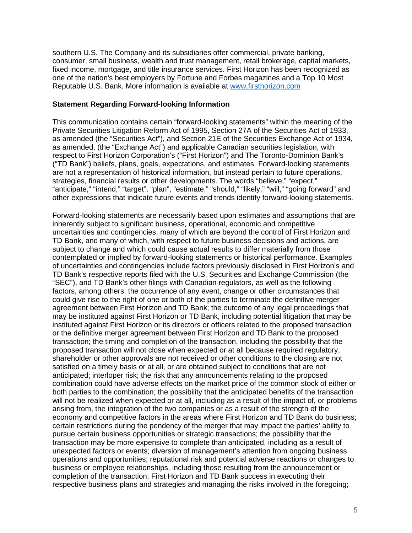southern U.S. The Company and its subsidiaries offer commercial, private banking, consumer, small business, wealth and trust management, retail brokerage, capital markets, fixed income, mortgage, and title insurance services. First Horizon has been recognized as one of the nation's best employers by Fortune and Forbes magazines and a Top 10 Most Reputable U.S. Bank. More information is available at [www.firsthorizon.com](http://www.firsthorizon.com/) 

#### **Statement Regarding Forward-looking Information**

This communication contains certain "forward-looking statements" within the meaning of the Private Securities Litigation Reform Act of 1995, Section 27A of the Securities Act of 1933, as amended (the "Securities Act"), and Section 21E of the Securities Exchange Act of 1934, as amended, (the "Exchange Act") and applicable Canadian securities legislation, with respect to First Horizon Corporation's ("First Horizon") and The Toronto-Dominion Bank's ("TD Bank") beliefs, plans, goals, expectations, and estimates. Forward-looking statements are not a representation of historical information, but instead pertain to future operations, strategies, financial results or other developments. The words "believe," "expect," "anticipate," "intend," "target", "plan", "estimate," "should," "likely," "will," "going forward" and other expressions that indicate future events and trends identify forward-looking statements.

Forward-looking statements are necessarily based upon estimates and assumptions that are inherently subject to significant business, operational, economic and competitive uncertainties and contingencies, many of which are beyond the control of First Horizon and TD Bank, and many of which, with respect to future business decisions and actions, are subject to change and which could cause actual results to differ materially from those contemplated or implied by forward-looking statements or historical performance. Examples of uncertainties and contingencies include factors previously disclosed in First Horizon's and TD Bank's respective reports filed with the U.S. Securities and Exchange Commission (the "SEC"), and TD Bank's other filings with Canadian regulators, as well as the following factors, among others: the occurrence of any event, change or other circumstances that could give rise to the right of one or both of the parties to terminate the definitive merger agreement between First Horizon and TD Bank; the outcome of any legal proceedings that may be instituted against First Horizon or TD Bank, including potential litigation that may be instituted against First Horizon or its directors or officers related to the proposed transaction or the definitive merger agreement between First Horizon and TD Bank to the proposed transaction; the timing and completion of the transaction, including the possibility that the proposed transaction will not close when expected or at all because required regulatory, shareholder or other approvals are not received or other conditions to the closing are not satisfied on a timely basis or at all, or are obtained subject to conditions that are not anticipated; interloper risk; the risk that any announcements relating to the proposed combination could have adverse effects on the market price of the common stock of either or both parties to the combination; the possibility that the anticipated benefits of the transaction will not be realized when expected or at all, including as a result of the impact of, or problems arising from, the integration of the two companies or as a result of the strength of the economy and competitive factors in the areas where First Horizon and TD Bank do business; certain restrictions during the pendency of the merger that may impact the parties' ability to pursue certain business opportunities or strategic transactions; the possibility that the transaction may be more expensive to complete than anticipated, including as a result of unexpected factors or events; diversion of management's attention from ongoing business operations and opportunities; reputational risk and potential adverse reactions or changes to business or employee relationships, including those resulting from the announcement or completion of the transaction; First Horizon and TD Bank success in executing their respective business plans and strategies and managing the risks involved in the foregoing;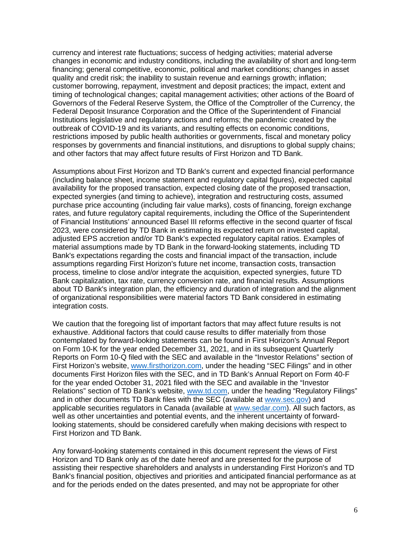currency and interest rate fluctuations; success of hedging activities; material adverse changes in economic and industry conditions, including the availability of short and long-term financing; general competitive, economic, political and market conditions; changes in asset quality and credit risk; the inability to sustain revenue and earnings growth; inflation; customer borrowing, repayment, investment and deposit practices; the impact, extent and timing of technological changes; capital management activities; other actions of the Board of Governors of the Federal Reserve System, the Office of the Comptroller of the Currency, the Federal Deposit Insurance Corporation and the Office of the Superintendent of Financial Institutions legislative and regulatory actions and reforms; the pandemic created by the outbreak of COVID-19 and its variants, and resulting effects on economic conditions, restrictions imposed by public health authorities or governments, fiscal and monetary policy responses by governments and financial institutions, and disruptions to global supply chains; and other factors that may affect future results of First Horizon and TD Bank.

Assumptions about First Horizon and TD Bank's current and expected financial performance (including balance sheet, income statement and regulatory capital figures), expected capital availability for the proposed transaction, expected closing date of the proposed transaction, expected synergies (and timing to achieve), integration and restructuring costs, assumed purchase price accounting (including fair value marks), costs of financing, foreign exchange rates, and future regulatory capital requirements, including the Office of the Superintendent of Financial Institutions' announced Basel III reforms effective in the second quarter of fiscal 2023, were considered by TD Bank in estimating its expected return on invested capital, adjusted EPS accretion and/or TD Bank's expected regulatory capital ratios. Examples of material assumptions made by TD Bank in the forward-looking statements, including TD Bank's expectations regarding the costs and financial impact of the transaction, include assumptions regarding First Horizon's future net income, transaction costs, transaction process, timeline to close and/or integrate the acquisition, expected synergies, future TD Bank capitalization, tax rate, currency conversion rate, and financial results. Assumptions about TD Bank's integration plan, the efficiency and duration of integration and the alignment of organizational responsibilities were material factors TD Bank considered in estimating integration costs.

We caution that the foregoing list of important factors that may affect future results is not exhaustive. Additional factors that could cause results to differ materially from those contemplated by forward-looking statements can be found in First Horizon's Annual Report on Form 10-K for the year ended December 31, 2021, and in its subsequent Quarterly Reports on Form 10-Q filed with the SEC and available in the "Investor Relations" section of First Horizon's website, [www.firsthorizon.com,](http://www.firsthorizon.com/) under the heading "SEC Filings" and in other documents First Horizon files with the SEC, and in TD Bank's Annual Report on Form 40-F for the year ended October 31, 2021 filed with the SEC and available in the "Investor Relations" section of TD Bank's website, [www.td.com,](http://www.td.com/) under the heading "Regulatory Filings" and in other documents TD Bank files with the SEC (available at [www.sec.gov\)](http://www.sec.gov/) and applicable securities regulators in Canada (available at [www.sedar.com\)](http://www.sedar.com/). All such factors, as well as other uncertainties and potential events, and the inherent uncertainty of forwardlooking statements, should be considered carefully when making decisions with respect to First Horizon and TD Bank.

Any forward-looking statements contained in this document represent the views of First Horizon and TD Bank only as of the date hereof and are presented for the purpose of assisting their respective shareholders and analysts in understanding First Horizon's and TD Bank's financial position, objectives and priorities and anticipated financial performance as at and for the periods ended on the dates presented, and may not be appropriate for other